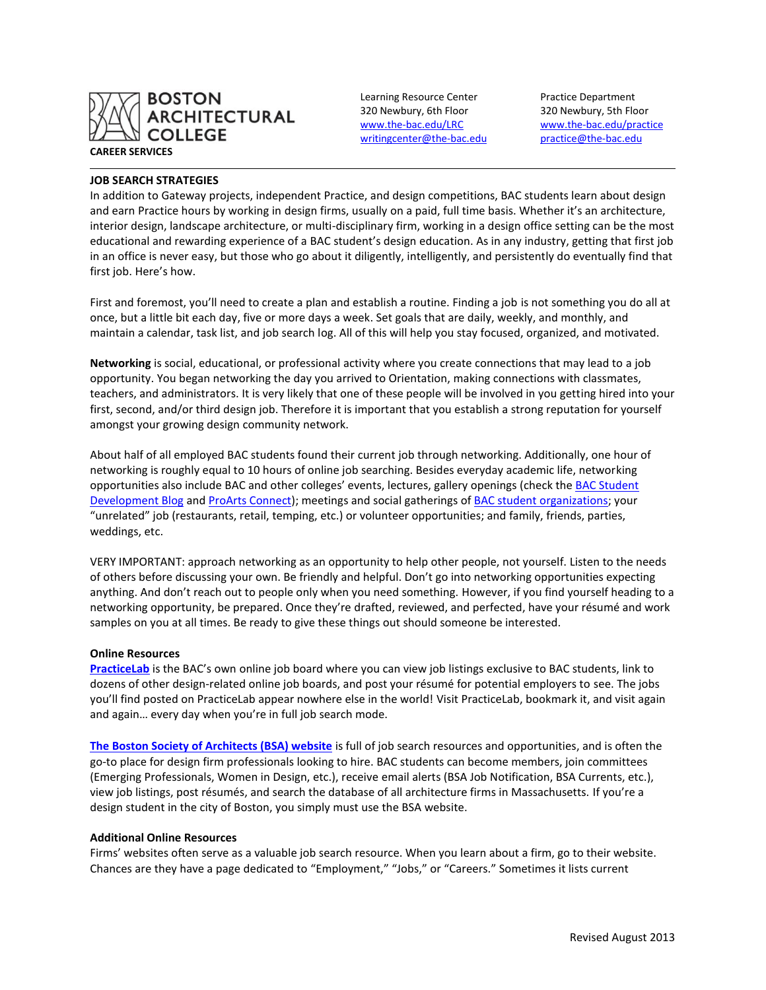

## **JOB SEARCH STRATEGIES**

320 Newbury, 6th Floor 320 Newbury, 5th Floor [writingcenter@the-bac.edu](mailto:writingcenter@the-bac.edu) [practice@the-bac.edu](mailto:practice@the-bac.edu)

Learning Resource Center Practice Department [www.the-bac.edu/LRC](http://www.the-bac.edu/LRC) [www.the-bac.edu/practice](http://www.the-bac.edu/practice)

In addition to Gateway projects, independent Practice, and design competitions, BAC students learn about design and earn Practice hours by working in design firms, usually on a paid, full time basis. Whether it's an architecture, interior design, landscape architecture, or multi-disciplinary firm, working in a design office setting can be the most educational and rewarding experience of a BAC student's design education. As in any industry, getting that first job in an office is never easy, but those who go about it diligently, intelligently, and persistently do eventually find that first job. Here's how.

First and foremost, you'll need to create a plan and establish a routine. Finding a job is not something you do all at once, but a little bit each day, five or more days a week. Set goals that are daily, weekly, and monthly, and maintain a calendar, task list, and job search log. All of this will help you stay focused, organized, and motivated.

**Networking** is social, educational, or professional activity where you create connections that may lead to a job opportunity. You began networking the day you arrived to Orientation, making connections with classmates, teachers, and administrators. It is very likely that one of these people will be involved in you getting hired into your first, second, and/or third design job. Therefore it is important that you establish a strong reputation for yourself amongst your growing design community network.

About half of all employed BAC students found their current job through networking. Additionally, one hour of networking is roughly equal to 10 hours of online job searching. Besides everyday academic life, networking opportunities also include BAC and other colleges' events, lectures, gallery openings (check the BAC Student [Development Blog](http://thebacstudentdevelopmentblog.blogspot.com/) and [ProArts Connect\)](http://www.proartsconnect.org/); meetings and social gatherings of [BAC student organizations;](http://the-bac.edu/resources/student-development-page/student-activities/student-organizations) your "unrelated" job (restaurants, retail, temping, etc.) or volunteer opportunities; and family, friends, parties, weddings, etc.

VERY IMPORTANT: approach networking as an opportunity to help other people, not yourself. Listen to the needs of others before discussing your own. Be friendly and helpful. Don't go into networking opportunities expecting anything. And don't reach out to people only when you need something. However, if you find yourself heading to a networking opportunity, be prepared. Once they're drafted, reviewed, and perfected, have your résumé and work samples on you at all times. Be ready to give these things out should someone be interested.

## **Online Resources**

**[PracticeLab](https://bac-csm.symplicity.com/)** is the BAC's own online job board where you can view job listings exclusive to BAC students, link to dozens of other design-related online job boards, and post your résumé for potential employers to see. The jobs you'll find posted on PracticeLab appear nowhere else in the world! Visit PracticeLab, bookmark it, and visit again and again… every day when you're in full job search mode.

**[The Boston Society of Architects \(BSA\) website](http://www.architects.org/)** is full of job search resources and opportunities, and is often the go-to place for design firm professionals looking to hire. BAC students can become members, join committees (Emerging Professionals, Women in Design, etc.), receive email alerts (BSA Job Notification, BSA Currents, etc.), view job listings, post résumés, and search the database of all architecture firms in Massachusetts. If you're a design student in the city of Boston, you simply must use the BSA website.

## **Additional Online Resources**

Firms' websites often serve as a valuable job search resource. When you learn about a firm, go to their website. Chances are they have a page dedicated to "Employment," "Jobs," or "Careers." Sometimes it lists current